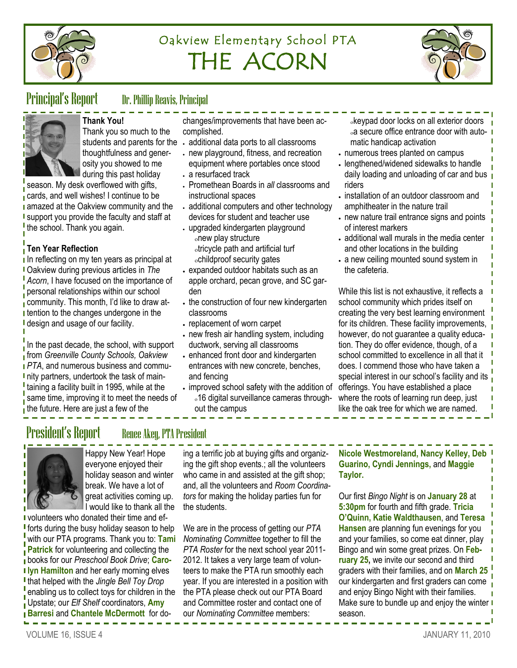

# Oakview Elementary School PTA THE ACORN



## Principal's Report Dr. Phillip Reavis, Principal



**Thank You!** Thank you so much to the thoughtfulness and generosity you showed to me

during this past holiday season. My desk overflowed with gifts, cards, and well wishes! I continue to be **a** amazed at the Oakview community and the I support you provide the faculty and staff at the school. Thank you again.

### **Ten Year Reflection**

In reflecting on my ten years as principal at Oakview during previous articles in *The Acorn*, I have focused on the importance of personal relationships within our school community. This month, I'd like to draw at-**I** tention to the changes undergone in the **I** design and usage of our facility.

 $\frac{1}{1}$  In the past decade, the school, with support from *Greenville County Schools, Oakview PTA*, and numerous business and commu-I nity partners, undertook the task of maintaining a facility built in 1995, while at the same time, improving it to meet the needs of  $\frac{1}{1}$  the future. Here are just a few of the

changes/improvements that have been accomplished.

- students and parents for the . additional data ports to all classrooms
	- new playground, fitness, and recreation equipment where portables once stood
	- a resurfaced track
	- Promethean Boards in *all* classrooms and instructional spaces
	- additional computers and other technology devices for student and teacher use
	- upgraded kindergarten playground new play structure tricycle path and artificial turf childproof security gates
	- expanded outdoor habitats such as an apple orchard, pecan grove, and SC garden
	- . the construction of four new kindergarten classrooms
	- replacement of worn carpet
	- new fresh air handling system, including ductwork, serving all classrooms
	- enhanced front door and kindergarten entrances with new concrete, benches, and fencing
	- $\cdot$  improved school safety with the addition of 16 digital surveillance cameras throughout the campus
- keypad door locks on all exterior doors  $\alpha$  secure office entrance door with automatic handicap activation
- numerous trees planted on campus
- lengthened/widened sidewalks to handle daily loading and unloading of car and bus riders
- $\cdot$  installation of an outdoor classroom and amphitheater in the nature trail
- new nature trail entrance signs and points of interest markers
- additional wall murals in the media center and other locations in the building
- a new ceiling mounted sound system in the cafeteria.

While this list is not exhaustive, it reflects a school community which prides itself on creating the very best learning environment for its children. These facility improvements, however, do not guarantee a quality education. They do offer evidence, though, of a school committed to excellence in all that it does. I commend those who have taken a special interest in our school's facility and its offerings. You have established a place where the roots of learning run deep, just like the oak tree for which we are named.

## President's Report Renee Akey, PTA President

Happy New Year! Hope everyone enjoyed their holiday season and winter break. We have a lot of great activities coming up. I would like to thank all the

**volunteers who donated their time and eff** forts during the busy holiday season to help with our PTA programs. Thank you to: **Tami Patrick** for volunteering and collecting the books for our *Preschool Book Drive*; **Caro-I lyn Hamilton and her early morning elves** that helped with the *Jingle Bell Toy Drop*  enabling us to collect toys for children in the Upstate; our *Elf Shelf* coordinators, **Amy Barresi** and **Chantele McDermott** for do-

ing a terrific job at buying gifts and organizing the gift shop events.; all the volunteers who came in and assisted at the gift shop; and, all the volunteers and *Room Coordinators* for making the holiday parties fun for the students.

We are in the process of getting our *PTA Nominating Committee* together to fill the *PTA Roster* for the next school year 2011- 2012. It takes a very large team of volunteers to make the PTA run smoothly each year. If you are interested in a position with the PTA please check out our PTA Board and Committee roster and contact one of our *Nominating Committee* members:

**Nicole Westmoreland, Nancy Kelley, Deb Guarino, Cyndi Jennings,** and **Maggie Taylor.**

Our first *Bingo Night* is on **January 28** at **5:30pm** for fourth and fifth grade. **Tricia O'Quinn, Katie Waldthausen**, and **Teresa Hansen** are planning fun evenings for you and your families, so come eat dinner, play Bingo and win some great prizes. On **February 25,** we invite our second and third graders with their families, and on **March 25**  our kindergarten and first graders can come and enjoy Bingo Night with their families. Make sure to bundle up and enjoy the winter  $\blacksquare$ season.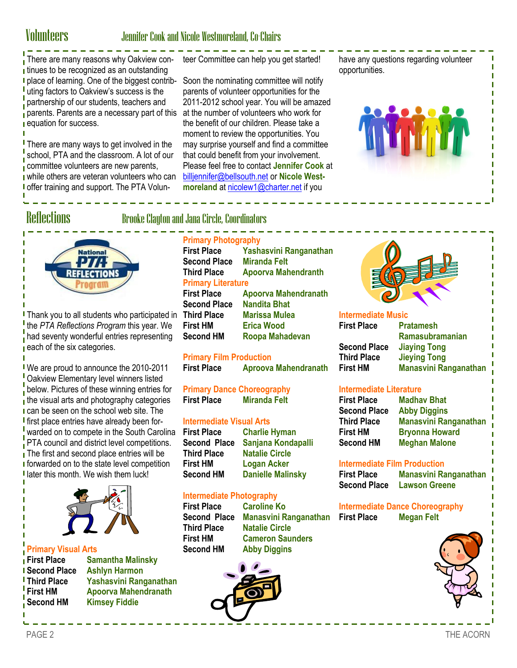## Volunteers Jennifer Cook and Nicole Westmoreland, Co-Chairs

There are many reasons why Oakview con-teer Committee can help you get started! **i** tinues to be recognized as an outstanding **p** place of learning. One of the biggest contributing factors to Oakview's success is the partnership of our students, teachers and parents. Parents are a necessary part of this at the number of volunteers who work for **i** equation for success.

There are many ways to get involved in the school, PTA and the classroom. A lot of our committee volunteers are new parents, while others are veteran volunteers who can **I** offer training and support. The PTA Volun-

Soon the nominating committee will notify parents of volunteer opportunities for the 2011-2012 school year. You will be amazed the benefit of our children. Please take a moment to review the opportunities. You may surprise yourself and find a committee that could benefit from your involvement. Please feel free to contact **Jennifer Cook** at [billjennifer@bellsouth.net](mailto:billjennifer@bellsouth.net) or **Nicole Westmoreland** at [nicolew1@charter.net](mailto:nicolew1@charter.net) if you

have any questions regarding volunteer opportunities.





**I** Thank you to all students who participated in T the *PTA Reflections Program* this year. We had seventy wonderful entries representing  $\frac{1}{2}$  each of the six categories.

We are proud to announce the 2010-2011 Oakview Elementary level winners listed below. Pictures of these winning entries for the visual arts and photography categories **I** can be seen on the school web site. The **I** first place entries have already been forwarded on to compete in the South Carolina PTA council and district level competitions.  $\frac{1}{1}$  The first and second place entries will be **I** forwarded on to the state level competition I later this month. We wish them luck!



# **Primary Visual Arts**

**Samantha Malinsky Second Place Ashlyn Harmon Third Place Yashasvini Ranganathan First HM Apoorva Mahendranath Second HM Kimsey Fiddie** 

## Reflections Brooke Clayton and Jana Circle, Coordinators

### **Primary Photography**

| <b>First Place</b>               | Yashasvini Ranganathan      |  |  |  |
|----------------------------------|-----------------------------|--|--|--|
| <b>Second Place Miranda Felt</b> |                             |  |  |  |
| <b>Third Place</b>               | <b>Apoorva Mahendranth</b>  |  |  |  |
| <b>Primary Literature</b>        |                             |  |  |  |
| <b>First Place</b>               | <b>Apoorva Mahendranath</b> |  |  |  |
| <b>Second Place</b>              | <b>Nandita Bhat</b>         |  |  |  |
| <b>Third Place</b>               | <b>Marissa Mulea</b>        |  |  |  |
| <b>First HM</b>                  | <b>Erica Wood</b>           |  |  |  |
| <b>Second HM</b>                 | Roopa Mahadevan             |  |  |  |

#### **Primary Film Production**

**First Place Aproova Mahendranath** 

**Primary Dance Choreography<br>First Place Miranda Felt Miranda Felt** 

# **Intermediate Visual Arts**

**Third Place Natalie Circle First HM Logan Acker** 

**Charlie Hyman Second Place Sanjana Kondapalli Danielle Malinsky** 

**Cameron Saunders** 

### **Intermediate Photography**

**First Place Caroline Ko Second Place Manasvini Ranganathan Third Place Natalie Circle Second HM Abby Diggins** 



#### **Intermediate Music First Place Pratamesh Ramasubramanian Second Place Jiaying Tong Jieying Tong First HM Manasvini Ranganathan**

#### **Intermediate Literature**

| <b>First Place</b>  |  |  |  |
|---------------------|--|--|--|
| <b>Second Place</b> |  |  |  |
| <b>Third Place</b>  |  |  |  |
| First HM            |  |  |  |
| <b>Second HM</b>    |  |  |  |

**Madhav Bhat Refore Place Abby Diggins Third Place Manasvini Ranganathan Bryonna Howard Second HM Meghan Malone** 

# **Intermediate Film Production**

**First Place Manasvini Ranganathan Second Place Lawson Greene** 

**Intermediate Dance Choreography Megan Felt** 

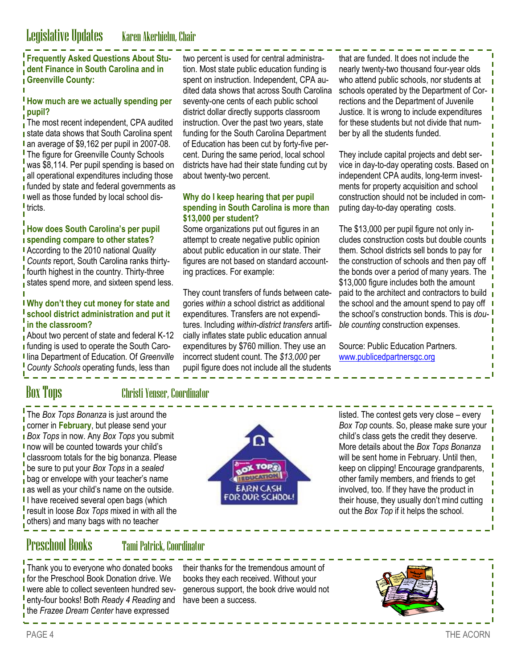### **Frequently Asked Questions About Student Finance in South Carolina and in Greenville County:**

#### **How much are we actually spending per pupil?**

The most recent independent, CPA audited **state data shows that South Carolina spent** I an average of \$9,162 per pupil in 2007-08. **The figure for Greenville County Schools** was \$8,114. Per pupil spending is based on all operational expenditures including those **funded by state and federal governments as** well as those funded by local school dis-I tricts.

#### **How does South Carolina's per pupil spending compare to other states?**

According to the 2010 national *Quality Counts* report, South Carolina ranks thirtyfourth highest in the country. Thirty-three states spend more, and sixteen spend less.

#### **Why don't they cut money for state and school district administration and put it in the classroom?**

About two percent of state and federal K-12 **I** funding is used to operate the South Caro-**I** lina Department of Education. Of *Greenville County Schools* operating funds, less than

two percent is used for central administration. Most state public education funding is spent on instruction. Independent, CPA audited data shows that across South Carolina seventy-one cents of each public school district dollar directly supports classroom instruction. Over the past two years, state funding for the South Carolina Department of Education has been cut by forty-five percent. During the same period, local school districts have had their state funding cut by about twenty-two percent.

#### **Why do I keep hearing that per pupil spending in South Carolina is more than \$13,000 per student?**

Some organizations put out figures in an attempt to create negative public opinion about public education in our state. Their figures are not based on standard accounting practices. For example:

They count transfers of funds between categories *within* a school district as additional expenditures. Transfers are not expenditures. Including *within-district transfers* artificially inflates state public education annual expenditures by \$760 million. They use an incorrect student count. The *\$13,000* per pupil figure does not include all the students

that are funded. It does not include the nearly twenty-two thousand four-year olds who attend public schools, nor students at schools operated by the Department of Corrections and the Department of Juvenile Justice. It is wrong to include expenditures for these students but not divide that number by all the students funded.

They include capital projects and debt service in day-to-day operating costs. Based on independent CPA audits, long-term investments for property acquisition and school construction should not be included in computing day-to-day operating costs.

The \$13,000 per pupil figure not only includes construction costs but double counts them. School districts sell bonds to pay for the construction of schools and then pay off the bonds over a period of many years. The \$13,000 figure includes both the amount paid to the architect and contractors to build the school and the amount spend to pay off the school's construction bonds. This is *double counting* construction expenses.

Source: Public Education Partners. [www.publicedpartnersgc.org](http://www.publicedpartnersgc.org)

### Box Tops Christi Yenser, Coordinator

The *Box Tops Bonanza* is just around the corner in **February**, but please send your *Box Tops* in now. Any *Box Tops* you submit now will be counted towards your child's classroom totals for the big bonanza. Please be sure to put your *Box Tops* in a *sealed*  bag or envelope with your teacher's name **as well as your child's name on the outside.** I have received several open bags (which result in loose *Box Tops* mixed in with all the others) and many bags with no teacher



listed. The contest gets very close – every *Box Top* counts. So, please make sure your child's class gets the credit they deserve. More details about the *Box Tops Bonanza*  will be sent home in February. Until then, keep on clipping! Encourage grandparents, other family members, and friends to get involved, too. If they have the product in their house, they usually don't mind cutting out the *Box Top* if it helps the school.

## Preschool Books Tami Patrick, Coordinator

Thank you to everyone who donated books **for the Preschool Book Donation drive. We** I were able to collect seventeen hundred seventy-four books! Both *Ready 4 Reading* and have been a success.the *Frazee Dream Center* have expressed

their thanks for the tremendous amount of books they each received. Without your generous support, the book drive would not